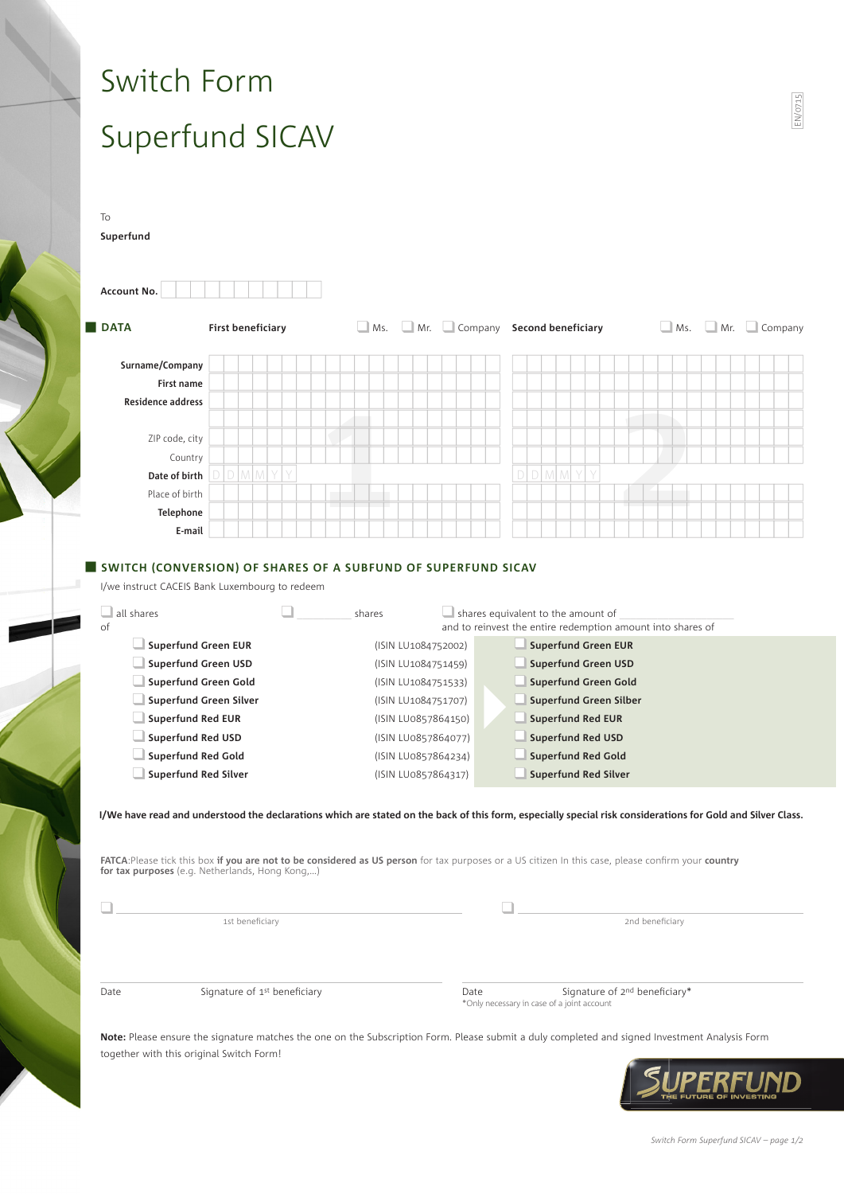# Switch Form Superfund SICAV

| <b>DATA</b>                                                                                                                                                                                                                                                                                                                                                           |                              |  | <b>First beneficiary</b> |  |  |                                                                                                                 |                                                                                                 |  |  |  |  | $\Box$ Ms. $\Box$ Mr.                                                                                                                      |                             |                                   | Company Second beneficiary |  |  |  |  |   |  |  |  |  |                 |  | $\Box$ Ms. $\Box$ Mr. $\Box$ Company |  |  |  |
|-----------------------------------------------------------------------------------------------------------------------------------------------------------------------------------------------------------------------------------------------------------------------------------------------------------------------------------------------------------------------|------------------------------|--|--------------------------|--|--|-----------------------------------------------------------------------------------------------------------------|-------------------------------------------------------------------------------------------------|--|--|--|--|--------------------------------------------------------------------------------------------------------------------------------------------|-----------------------------|-----------------------------------|----------------------------|--|--|--|--|---|--|--|--|--|-----------------|--|--------------------------------------|--|--|--|
|                                                                                                                                                                                                                                                                                                                                                                       |                              |  |                          |  |  |                                                                                                                 |                                                                                                 |  |  |  |  |                                                                                                                                            |                             |                                   |                            |  |  |  |  |   |  |  |  |  |                 |  |                                      |  |  |  |
| Surname/Company                                                                                                                                                                                                                                                                                                                                                       |                              |  |                          |  |  |                                                                                                                 |                                                                                                 |  |  |  |  |                                                                                                                                            |                             |                                   |                            |  |  |  |  |   |  |  |  |  |                 |  |                                      |  |  |  |
| First name                                                                                                                                                                                                                                                                                                                                                            |                              |  |                          |  |  |                                                                                                                 |                                                                                                 |  |  |  |  |                                                                                                                                            |                             |                                   |                            |  |  |  |  |   |  |  |  |  |                 |  |                                      |  |  |  |
| <b>Residence address</b>                                                                                                                                                                                                                                                                                                                                              |                              |  |                          |  |  |                                                                                                                 |                                                                                                 |  |  |  |  |                                                                                                                                            |                             |                                   |                            |  |  |  |  |   |  |  |  |  |                 |  |                                      |  |  |  |
|                                                                                                                                                                                                                                                                                                                                                                       |                              |  |                          |  |  |                                                                                                                 |                                                                                                 |  |  |  |  |                                                                                                                                            |                             |                                   |                            |  |  |  |  |   |  |  |  |  |                 |  |                                      |  |  |  |
| ZIP code, city                                                                                                                                                                                                                                                                                                                                                        |                              |  |                          |  |  |                                                                                                                 |                                                                                                 |  |  |  |  |                                                                                                                                            |                             |                                   |                            |  |  |  |  |   |  |  |  |  |                 |  |                                      |  |  |  |
| Country                                                                                                                                                                                                                                                                                                                                                               |                              |  |                          |  |  |                                                                                                                 |                                                                                                 |  |  |  |  |                                                                                                                                            |                             |                                   |                            |  |  |  |  | Y |  |  |  |  |                 |  |                                      |  |  |  |
|                                                                                                                                                                                                                                                                                                                                                                       | M<br>Y<br>M<br>Date of birth |  |                          |  |  |                                                                                                                 |                                                                                                 |  |  |  |  |                                                                                                                                            |                             | M<br>$\Box$<br>$\mathcal N$<br>D. |                            |  |  |  |  |   |  |  |  |  |                 |  |                                      |  |  |  |
| Place of birth                                                                                                                                                                                                                                                                                                                                                        |                              |  |                          |  |  |                                                                                                                 |                                                                                                 |  |  |  |  |                                                                                                                                            |                             |                                   |                            |  |  |  |  |   |  |  |  |  |                 |  |                                      |  |  |  |
| Telephone<br>E-mail                                                                                                                                                                                                                                                                                                                                                   |                              |  |                          |  |  |                                                                                                                 |                                                                                                 |  |  |  |  |                                                                                                                                            |                             |                                   |                            |  |  |  |  |   |  |  |  |  |                 |  |                                      |  |  |  |
| Superfund Green Gold<br>Superfund Green Silver<br><b>Superfund Red EUR</b><br>Superfund Red USD                                                                                                                                                                                                                                                                       |                              |  |                          |  |  | (ISIN LU1084751533)<br>(ISIN LU1084751707)<br>(ISIN LU0857864150)<br>(ISIN LU0857864077)<br>(ISIN LU0857864234) |                                                                                                 |  |  |  |  | <b>Superfund Green Gold</b><br>Superfund Green Silber<br><b>Superfund Red EUR</b><br><b>Superfund Red USD</b><br><b>Superfund Red Gold</b> |                             |                                   |                            |  |  |  |  |   |  |  |  |  |                 |  |                                      |  |  |  |
| <b>Superfund Red Gold</b><br><b>Superfund Red Silver</b><br>(ISIN LU0857864317)                                                                                                                                                                                                                                                                                       |                              |  |                          |  |  |                                                                                                                 |                                                                                                 |  |  |  |  |                                                                                                                                            | <b>Superfund Red Silver</b> |                                   |                            |  |  |  |  |   |  |  |  |  |                 |  |                                      |  |  |  |
| I/We have read and understood the declarations which are stated on the back of this form, especially special risk considerations for Gold and Silver Class.<br>FATCA: Please tick this box if you are not to be considered as US person for tax purposes or a US citizen In this case, please confirm your country<br>for tax purposes (e.g. Netherlands, Hong Kong,) |                              |  |                          |  |  |                                                                                                                 |                                                                                                 |  |  |  |  |                                                                                                                                            |                             |                                   |                            |  |  |  |  |   |  |  |  |  |                 |  |                                      |  |  |  |
|                                                                                                                                                                                                                                                                                                                                                                       |                              |  |                          |  |  |                                                                                                                 |                                                                                                 |  |  |  |  |                                                                                                                                            |                             |                                   |                            |  |  |  |  |   |  |  |  |  |                 |  |                                      |  |  |  |
|                                                                                                                                                                                                                                                                                                                                                                       |                              |  | 1st beneficiary          |  |  |                                                                                                                 |                                                                                                 |  |  |  |  |                                                                                                                                            |                             |                                   |                            |  |  |  |  |   |  |  |  |  | 2nd beneficiary |  |                                      |  |  |  |
|                                                                                                                                                                                                                                                                                                                                                                       | Signature of 1st beneficiary |  |                          |  |  |                                                                                                                 | Signature of 2 <sup>nd</sup> beneficiary*<br>Date<br>*Only necessary in case of a joint account |  |  |  |  |                                                                                                                                            |                             |                                   |                            |  |  |  |  |   |  |  |  |  |                 |  |                                      |  |  |  |